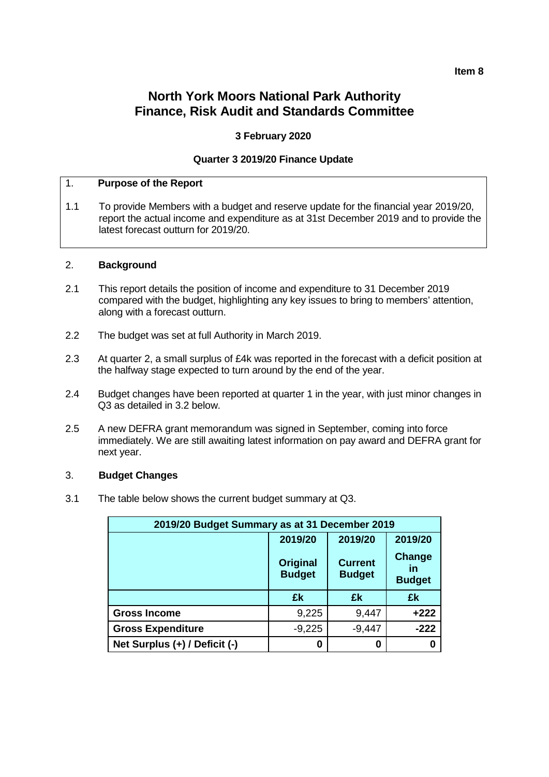## **Item 8**

# **North York Moors National Park Authority Finance, Risk Audit and Standards Committee**

## **3 February 2020**

## **Quarter 3 2019/20 Finance Update**

## 1. **Purpose of the Report**

1.1 To provide Members with a budget and reserve update for the financial year 2019/20, report the actual income and expenditure as at 31st December 2019 and to provide the latest forecast outturn for 2019/20.

#### 2. **Background**

- 2.1 This report details the position of income and expenditure to 31 December 2019 compared with the budget, highlighting any key issues to bring to members' attention, along with a forecast outturn.
- 2.2 The budget was set at full Authority in March 2019.
- 2.3 At quarter 2, a small surplus of £4k was reported in the forecast with a deficit position at the halfway stage expected to turn around by the end of the year.
- 2.4 Budget changes have been reported at quarter 1 in the year, with just minor changes in Q3 as detailed in 3.2 below.
- 2.5 A new DEFRA grant memorandum was signed in September, coming into force immediately. We are still awaiting latest information on pay award and DEFRA grant for next year.

#### 3. **Budget Changes**

3.1 The table below shows the current budget summary at Q3.

| 2019/20 Budget Summary as at 31 December 2019 |                                  |                                 |                               |  |  |
|-----------------------------------------------|----------------------------------|---------------------------------|-------------------------------|--|--|
|                                               | 2019/20<br>2019/20<br>2019/20    |                                 |                               |  |  |
|                                               | <b>Original</b><br><b>Budget</b> | <b>Current</b><br><b>Budget</b> | Change<br>īn<br><b>Budget</b> |  |  |
|                                               | £k                               | £k                              | £k                            |  |  |
| <b>Gross Income</b>                           | 9,225                            | 9,447                           | $+222$                        |  |  |
| <b>Gross Expenditure</b>                      | $-9,225$                         | $-9,447$                        | $-222$                        |  |  |
| Net Surplus (+) / Deficit (-)                 | Ω                                | 0                               |                               |  |  |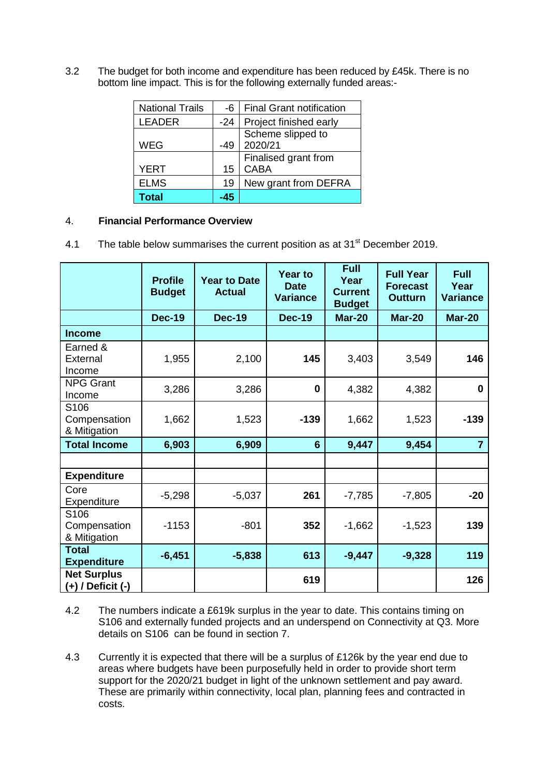3.2 The budget for both income and expenditure has been reduced by £45k. There is no bottom line impact. This is for the following externally funded areas:-

| <b>National Trails</b> | -6    | <b>Final Grant notification</b> |
|------------------------|-------|---------------------------------|
| <b>LEADER</b>          | $-24$ | Project finished early          |
|                        |       | Scheme slipped to               |
| <b>WEG</b>             | -49   | 2020/21                         |
|                        |       | Finalised grant from            |
| <b>YERT</b>            | 15    | <b>CABA</b>                     |
| <b>ELMS</b>            | 19    | New grant from DEFRA            |
| Total                  | -45   |                                 |

## 4. **Financial Performance Overview**

4.1 The table below summarises the current position as at 31<sup>st</sup> December 2019.

|                                             | <b>Profile</b><br><b>Budget</b> | <b>Year to Date</b><br><b>Actual</b> | <b>Year to</b><br><b>Date</b><br><b>Variance</b> | <b>Full</b><br>Year<br><b>Current</b><br><b>Budget</b> | <b>Full Year</b><br><b>Forecast</b><br><b>Outturn</b> | <b>Full</b><br>Year<br><b>Variance</b> |
|---------------------------------------------|---------------------------------|--------------------------------------|--------------------------------------------------|--------------------------------------------------------|-------------------------------------------------------|----------------------------------------|
|                                             | <b>Dec-19</b>                   | <b>Dec-19</b>                        | <b>Dec-19</b>                                    | <b>Mar-20</b>                                          | <b>Mar-20</b>                                         | <b>Mar-20</b>                          |
| <b>Income</b>                               |                                 |                                      |                                                  |                                                        |                                                       |                                        |
| Earned &<br>External<br>Income              | 1,955                           | 2,100                                | 145                                              | 3,403                                                  | 3,549                                                 | 146                                    |
| <b>NPG Grant</b><br>Income                  | 3,286                           | 3,286                                | $\bf{0}$                                         | 4,382                                                  | 4,382                                                 | $\bf{0}$                               |
| S106<br>Compensation<br>& Mitigation        | 1,662                           | 1,523                                | $-139$                                           | 1,662                                                  | 1,523                                                 | $-139$                                 |
| <b>Total Income</b>                         | 6,903                           | 6,909                                | 6                                                | 9,447                                                  | 9,454                                                 | $\overline{7}$                         |
|                                             |                                 |                                      |                                                  |                                                        |                                                       |                                        |
| <b>Expenditure</b>                          |                                 |                                      |                                                  |                                                        |                                                       |                                        |
| Core<br>Expenditure                         | $-5,298$                        | $-5,037$                             | 261                                              | $-7,785$                                               | $-7,805$                                              | $-20$                                  |
| S106<br>Compensation<br>& Mitigation        | $-1153$                         | $-801$                               | 352                                              | $-1,662$                                               | $-1,523$                                              | 139                                    |
| <b>Total</b><br><b>Expenditure</b>          | $-6,451$                        | $-5,838$                             | 613                                              | $-9,447$                                               | $-9,328$                                              | 119                                    |
| <b>Net Surplus</b><br>$(+)$ / Deficit $(-)$ |                                 |                                      | 619                                              |                                                        |                                                       | 126                                    |

- 4.2 The numbers indicate a £619k surplus in the year to date. This contains timing on S106 and externally funded projects and an underspend on Connectivity at Q3. More details on S106 can be found in section 7.
- 4.3 Currently it is expected that there will be a surplus of £126k by the year end due to areas where budgets have been purposefully held in order to provide short term support for the 2020/21 budget in light of the unknown settlement and pay award. These are primarily within connectivity, local plan, planning fees and contracted in costs.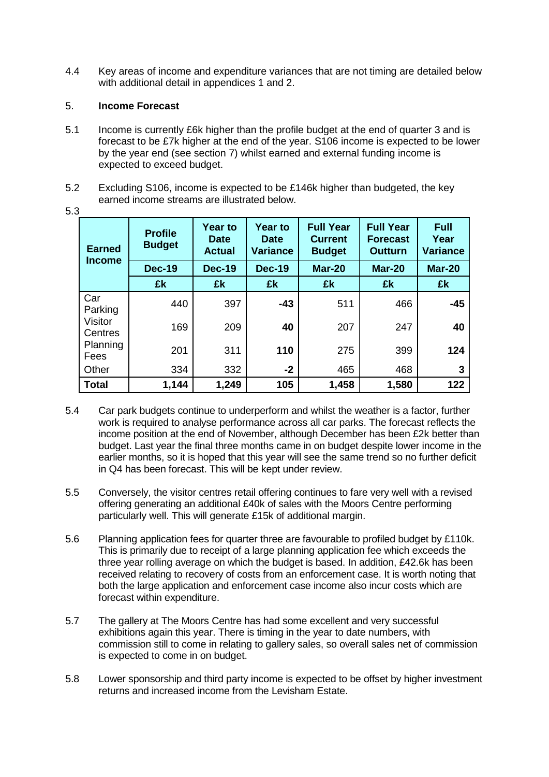4.4 Key areas of income and expenditure variances that are not timing are detailed below with additional detail in appendices 1 and 2.

## 5. **Income Forecast**

- 5.1 Income is currently £6k higher than the profile budget at the end of quarter 3 and is forecast to be £7k higher at the end of the year. S106 income is expected to be lower by the year end (see section 7) whilst earned and external funding income is expected to exceed budget.
- 5.2 Excluding S106, income is expected to be £146k higher than budgeted, the key earned income streams are illustrated below.

| <b>Earned</b><br><b>Income</b> | <b>Profile</b><br><b>Budget</b> | <b>Year to</b><br><b>Date</b><br><b>Actual</b> | <b>Year to</b><br><b>Date</b><br><b>Variance</b> | <b>Full Year</b><br><b>Current</b><br><b>Budget</b> | <b>Full Year</b><br><b>Forecast</b><br><b>Outturn</b> | <b>Full</b><br>Year<br><b>Variance</b> |
|--------------------------------|---------------------------------|------------------------------------------------|--------------------------------------------------|-----------------------------------------------------|-------------------------------------------------------|----------------------------------------|
|                                | <b>Dec-19</b>                   | <b>Dec-19</b>                                  | <b>Dec-19</b>                                    | <b>Mar-20</b>                                       | <b>Mar-20</b>                                         | <b>Mar-20</b>                          |
|                                | £k                              | £k                                             | £k                                               | £k                                                  | £k                                                    | £k                                     |
| Car<br>Parking                 | 440                             | 397                                            | $-43$                                            | 511                                                 | 466                                                   | $-45$                                  |
| Visitor<br>Centres             | 169                             | 209                                            | 40                                               | 207                                                 | 247                                                   | 40                                     |
| Planning<br>Fees               | 201                             | 311                                            | 110                                              | 275                                                 | 399                                                   | 124                                    |
| Other                          | 334                             | 332                                            | $-2$                                             | 465                                                 | 468                                                   | 3                                      |
| <b>Total</b>                   | 1,144                           | 1,249                                          | 105                                              | 1,458                                               | 1,580                                                 | 122                                    |

5.3

- 5.4 Car park budgets continue to underperform and whilst the weather is a factor, further work is required to analyse performance across all car parks. The forecast reflects the income position at the end of November, although December has been £2k better than budget. Last year the final three months came in on budget despite lower income in the earlier months, so it is hoped that this year will see the same trend so no further deficit in Q4 has been forecast. This will be kept under review.
- 5.5 Conversely, the visitor centres retail offering continues to fare very well with a revised offering generating an additional £40k of sales with the Moors Centre performing particularly well. This will generate £15k of additional margin.
- 5.6 Planning application fees for quarter three are favourable to profiled budget by £110k. This is primarily due to receipt of a large planning application fee which exceeds the three year rolling average on which the budget is based. In addition, £42.6k has been received relating to recovery of costs from an enforcement case. It is worth noting that both the large application and enforcement case income also incur costs which are forecast within expenditure.
- 5.7 The gallery at The Moors Centre has had some excellent and very successful exhibitions again this year. There is timing in the year to date numbers, with commission still to come in relating to gallery sales, so overall sales net of commission is expected to come in on budget.
- 5.8 Lower sponsorship and third party income is expected to be offset by higher investment returns and increased income from the Levisham Estate.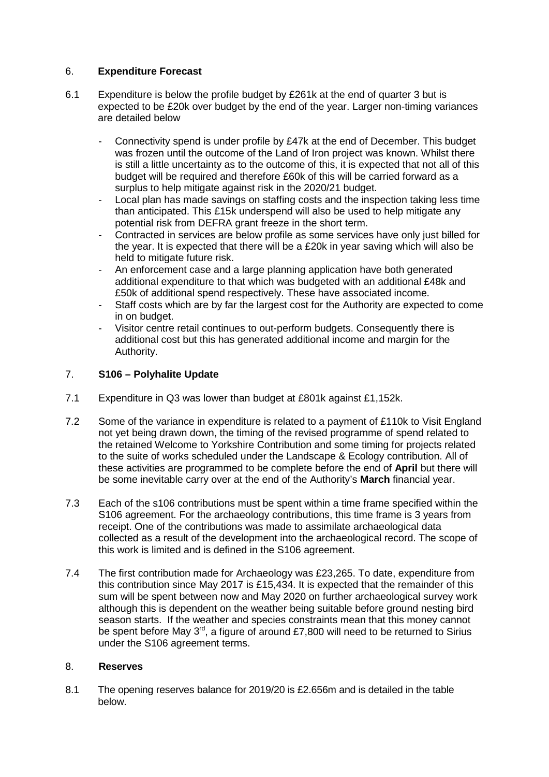## 6. **Expenditure Forecast**

- 6.1 Expenditure is below the profile budget by £261k at the end of quarter 3 but is expected to be £20k over budget by the end of the year. Larger non-timing variances are detailed below
	- Connectivity spend is under profile by £47k at the end of December. This budget was frozen until the outcome of the Land of Iron project was known. Whilst there is still a little uncertainty as to the outcome of this, it is expected that not all of this budget will be required and therefore £60k of this will be carried forward as a surplus to help mitigate against risk in the 2020/21 budget.
	- Local plan has made savings on staffing costs and the inspection taking less time than anticipated. This £15k underspend will also be used to help mitigate any potential risk from DEFRA grant freeze in the short term.
	- Contracted in services are below profile as some services have only just billed for the year. It is expected that there will be a £20k in year saving which will also be held to mitigate future risk.
	- An enforcement case and a large planning application have both generated additional expenditure to that which was budgeted with an additional £48k and £50k of additional spend respectively. These have associated income.
	- Staff costs which are by far the largest cost for the Authority are expected to come in on budget.
	- Visitor centre retail continues to out-perform budgets. Consequently there is additional cost but this has generated additional income and margin for the Authority.

## 7. **S106 – Polyhalite Update**

- 7.1 Expenditure in Q3 was lower than budget at £801k against £1,152k.
- 7.2 Some of the variance in expenditure is related to a payment of £110k to Visit England not yet being drawn down, the timing of the revised programme of spend related to the retained Welcome to Yorkshire Contribution and some timing for projects related to the suite of works scheduled under the Landscape & Ecology contribution. All of these activities are programmed to be complete before the end of **April** but there will be some inevitable carry over at the end of the Authority's **March** financial year.
- 7.3 Each of the s106 contributions must be spent within a time frame specified within the S106 agreement. For the archaeology contributions, this time frame is 3 years from receipt. One of the contributions was made to assimilate archaeological data collected as a result of the development into the archaeological record. The scope of this work is limited and is defined in the S106 agreement.
- 7.4 The first contribution made for Archaeology was £23,265. To date, expenditure from this contribution since May 2017 is £15,434. It is expected that the remainder of this sum will be spent between now and May 2020 on further archaeological survey work although this is dependent on the weather being suitable before ground nesting bird season starts. If the weather and species constraints mean that this money cannot be spent before May  $3<sup>rd</sup>$ , a figure of around £7,800 will need to be returned to Sirius under the S106 agreement terms.

## 8. **Reserves**

8.1 The opening reserves balance for 2019/20 is £2.656m and is detailed in the table below.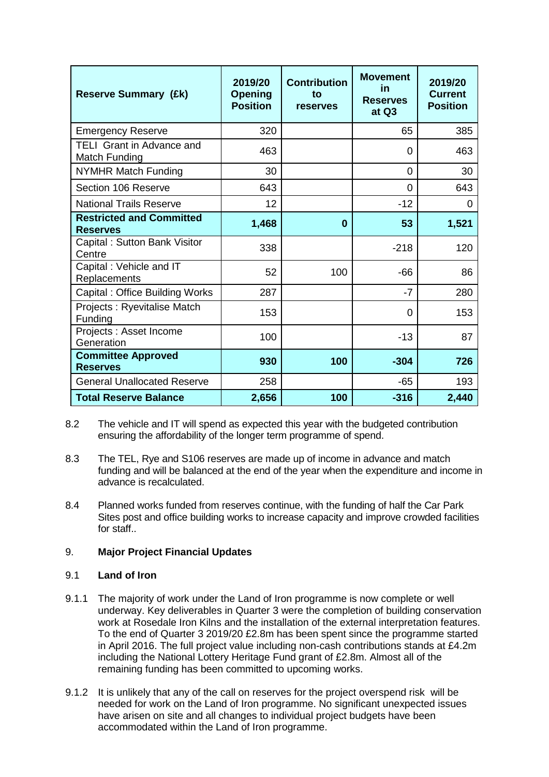| <b>Reserve Summary (£k)</b>                        | 2019/20<br><b>Opening</b><br><b>Position</b> | <b>Contribution</b><br>to<br>reserves | <b>Movement</b><br>in<br><b>Reserves</b><br>at Q3 | 2019/20<br><b>Current</b><br><b>Position</b> |
|----------------------------------------------------|----------------------------------------------|---------------------------------------|---------------------------------------------------|----------------------------------------------|
| <b>Emergency Reserve</b>                           | 320                                          |                                       | 65                                                | 385                                          |
| <b>TELI Grant in Advance and</b><br>Match Funding  | 463                                          |                                       | 0                                                 | 463                                          |
| <b>NYMHR Match Funding</b>                         | 30                                           |                                       | 0                                                 | 30                                           |
| Section 106 Reserve                                | 643                                          |                                       | 0                                                 | 643                                          |
| <b>National Trails Reserve</b>                     | 12                                           |                                       | $-12$                                             | 0                                            |
| <b>Restricted and Committed</b><br><b>Reserves</b> | 1,468                                        | 0                                     | 53                                                | 1,521                                        |
| Capital: Sutton Bank Visitor<br>Centre             | 338                                          |                                       | $-218$                                            | 120                                          |
| Capital: Vehicle and IT<br>Replacements            | 52                                           | 100                                   | $-66$                                             | 86                                           |
| Capital: Office Building Works                     | 287                                          |                                       | $-7$                                              | 280                                          |
| Projects: Ryevitalise Match<br>Funding             | 153                                          |                                       | 0                                                 | 153                                          |
| Projects : Asset Income<br>Generation              | 100                                          |                                       | $-13$                                             | 87                                           |
| <b>Committee Approved</b><br><b>Reserves</b>       | 930                                          | 100                                   | $-304$                                            | 726                                          |
| <b>General Unallocated Reserve</b>                 | 258                                          |                                       | $-65$                                             | 193                                          |
| <b>Total Reserve Balance</b>                       | 2,656                                        | 100                                   | $-316$                                            | 2,440                                        |

- 8.2 The vehicle and IT will spend as expected this year with the budgeted contribution ensuring the affordability of the longer term programme of spend.
- 8.3 The TEL, Rye and S106 reserves are made up of income in advance and match funding and will be balanced at the end of the year when the expenditure and income in advance is recalculated.
- 8.4 Planned works funded from reserves continue, with the funding of half the Car Park Sites post and office building works to increase capacity and improve crowded facilities for staff..

## 9. **Major Project Financial Updates**

## 9.1 **Land of Iron**

- 9.1.1 The majority of work under the Land of Iron programme is now complete or well underway. Key deliverables in Quarter 3 were the completion of building conservation work at Rosedale Iron Kilns and the installation of the external interpretation features. To the end of Quarter 3 2019/20 £2.8m has been spent since the programme started in April 2016. The full project value including non-cash contributions stands at £4.2m including the National Lottery Heritage Fund grant of £2.8m. Almost all of the remaining funding has been committed to upcoming works.
- 9.1.2 It is unlikely that any of the call on reserves for the project overspend risk will be needed for work on the Land of Iron programme. No significant unexpected issues have arisen on site and all changes to individual project budgets have been accommodated within the Land of Iron programme.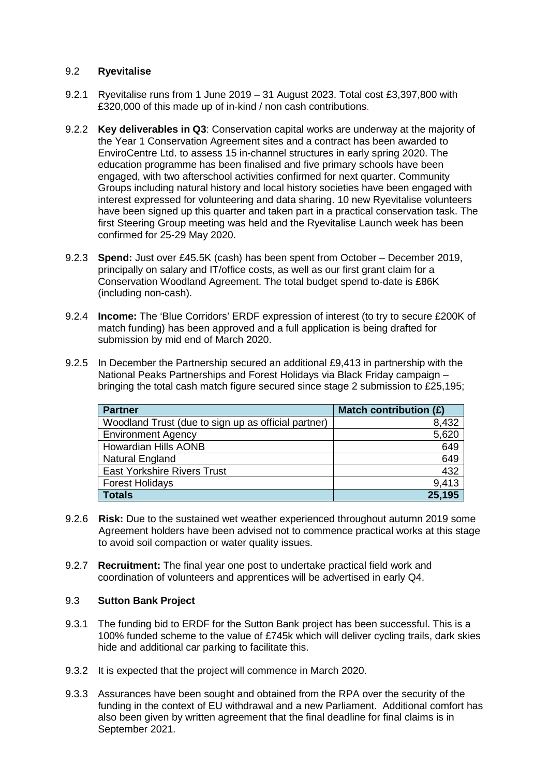## 9.2 **Ryevitalise**

- 9.2.1 Ryevitalise runs from 1 June 2019 31 August 2023. Total cost £3,397,800 with £320,000 of this made up of in-kind / non cash contributions.
- 9.2.2 **Key deliverables in Q3**: Conservation capital works are underway at the majority of the Year 1 Conservation Agreement sites and a contract has been awarded to EnviroCentre Ltd. to assess 15 in-channel structures in early spring 2020. The education programme has been finalised and five primary schools have been engaged, with two afterschool activities confirmed for next quarter. Community Groups including natural history and local history societies have been engaged with interest expressed for volunteering and data sharing. 10 new Ryevitalise volunteers have been signed up this quarter and taken part in a practical conservation task. The first Steering Group meeting was held and the Ryevitalise Launch week has been confirmed for 25-29 May 2020.
- 9.2.3 **Spend:** Just over £45.5K (cash) has been spent from October December 2019, principally on salary and IT/office costs, as well as our first grant claim for a Conservation Woodland Agreement. The total budget spend to-date is £86K (including non-cash).
- 9.2.4 **Income:** The 'Blue Corridors' ERDF expression of interest (to try to secure £200K of match funding) has been approved and a full application is being drafted for submission by mid end of March 2020.
- 9.2.5 In December the Partnership secured an additional £9,413 in partnership with the National Peaks Partnerships and Forest Holidays via Black Friday campaign – bringing the total cash match figure secured since stage 2 submission to £25,195;

| <b>Partner</b>                                      | Match contribution (£) |
|-----------------------------------------------------|------------------------|
| Woodland Trust (due to sign up as official partner) | 8,432                  |
| <b>Environment Agency</b>                           | 5,620                  |
| <b>Howardian Hills AONB</b>                         | 649                    |
| Natural England                                     | 649                    |
| <b>East Yorkshire Rivers Trust</b>                  | 432                    |
| <b>Forest Holidays</b>                              | 9,413                  |
| <b>Totals</b>                                       | 25,195                 |

- 9.2.6 **Risk:** Due to the sustained wet weather experienced throughout autumn 2019 some Agreement holders have been advised not to commence practical works at this stage to avoid soil compaction or water quality issues.
- 9.2.7 **Recruitment:** The final year one post to undertake practical field work and coordination of volunteers and apprentices will be advertised in early Q4.

## 9.3 **Sutton Bank Project**

- 9.3.1 The funding bid to ERDF for the Sutton Bank project has been successful. This is a 100% funded scheme to the value of £745k which will deliver cycling trails, dark skies hide and additional car parking to facilitate this.
- 9.3.2 It is expected that the project will commence in March 2020.
- 9.3.3 Assurances have been sought and obtained from the RPA over the security of the funding in the context of EU withdrawal and a new Parliament. Additional comfort has also been given by written agreement that the final deadline for final claims is in September 2021.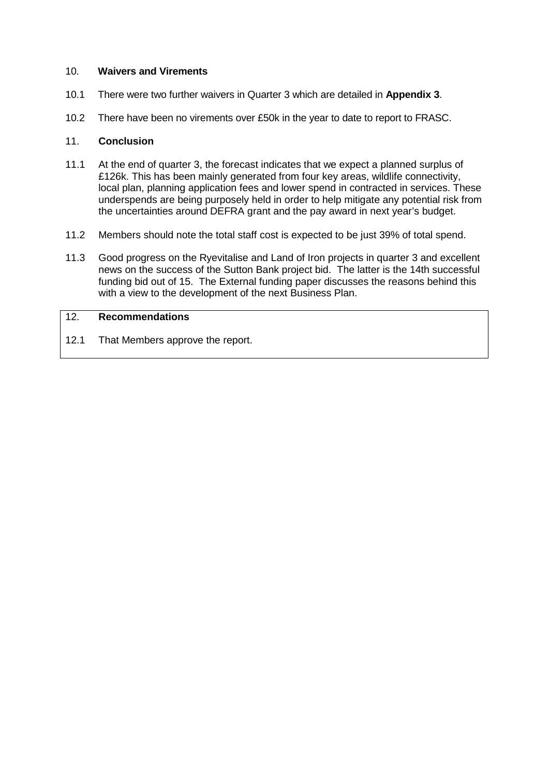#### 10. **Waivers and Virements**

- 10.1 There were two further waivers in Quarter 3 which are detailed in **Appendix 3**.
- 10.2 There have been no virements over £50k in the year to date to report to FRASC.

#### 11. **Conclusion**

- 11.1 At the end of quarter 3, the forecast indicates that we expect a planned surplus of £126k. This has been mainly generated from four key areas, wildlife connectivity, local plan, planning application fees and lower spend in contracted in services. These underspends are being purposely held in order to help mitigate any potential risk from the uncertainties around DEFRA grant and the pay award in next year's budget.
- 11.2 Members should note the total staff cost is expected to be just 39% of total spend.
- 11.3 Good progress on the Ryevitalise and Land of Iron projects in quarter 3 and excellent news on the success of the Sutton Bank project bid. The latter is the 14th successful funding bid out of 15. The External funding paper discusses the reasons behind this with a view to the development of the next Business Plan.

#### 12. **Recommendations**

12.1 That Members approve the report.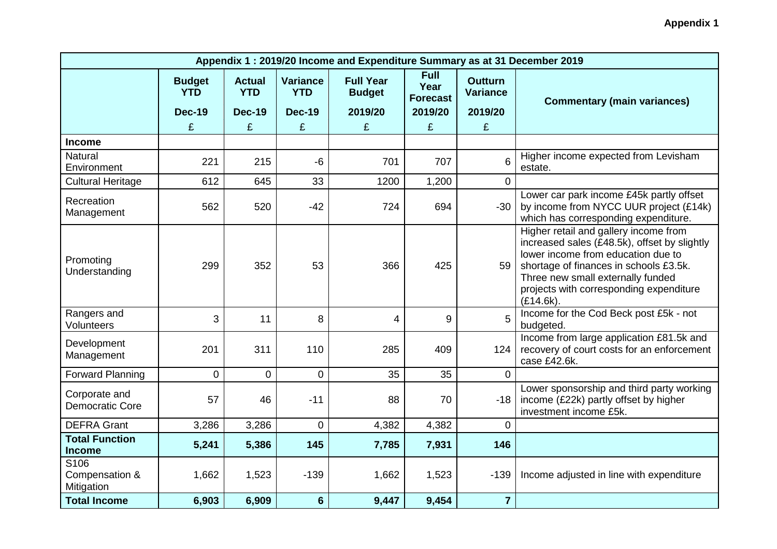| Appendix 1: 2019/20 Income and Expenditure Summary as at 31 December 2019 |                             |                             |                               |                                   |                                        |                                   |                                                                                                                                                                                                                                                                       |  |
|---------------------------------------------------------------------------|-----------------------------|-----------------------------|-------------------------------|-----------------------------------|----------------------------------------|-----------------------------------|-----------------------------------------------------------------------------------------------------------------------------------------------------------------------------------------------------------------------------------------------------------------------|--|
|                                                                           | <b>Budget</b><br><b>YTD</b> | <b>Actual</b><br><b>YTD</b> | <b>Variance</b><br><b>YTD</b> | <b>Full Year</b><br><b>Budget</b> | <b>Full</b><br>Year<br><b>Forecast</b> | <b>Outturn</b><br><b>Variance</b> | <b>Commentary (main variances)</b>                                                                                                                                                                                                                                    |  |
|                                                                           | <b>Dec-19</b>               | <b>Dec-19</b>               | <b>Dec-19</b>                 | 2019/20                           | 2019/20                                | 2019/20                           |                                                                                                                                                                                                                                                                       |  |
|                                                                           | £                           | £                           | £                             | £                                 | £                                      | £                                 |                                                                                                                                                                                                                                                                       |  |
| <b>Income</b>                                                             |                             |                             |                               |                                   |                                        |                                   |                                                                                                                                                                                                                                                                       |  |
| <b>Natural</b><br>Environment                                             | 221                         | 215                         | $-6$                          | 701                               | 707                                    | 6                                 | Higher income expected from Levisham<br>estate.                                                                                                                                                                                                                       |  |
| <b>Cultural Heritage</b>                                                  | 612                         | 645                         | 33                            | 1200                              | 1,200                                  | $\Omega$                          |                                                                                                                                                                                                                                                                       |  |
| Recreation<br>Management                                                  | 562                         | 520                         | $-42$                         | 724                               | 694                                    | $-30$                             | Lower car park income £45k partly offset<br>by income from NYCC UUR project (£14k)<br>which has corresponding expenditure.                                                                                                                                            |  |
| Promoting<br>Understanding                                                | 299                         | 352                         | 53                            | 366                               | 425                                    | 59                                | Higher retail and gallery income from<br>increased sales (£48.5k), offset by slightly<br>lower income from education due to<br>shortage of finances in schools £3.5k.<br>Three new small externally funded<br>projects with corresponding expenditure<br>$(E14.6k)$ . |  |
| Rangers and<br>Volunteers                                                 | 3                           | 11                          | 8                             | 4                                 | $9\,$                                  | 5                                 | Income for the Cod Beck post £5k - not<br>budgeted.                                                                                                                                                                                                                   |  |
| Development<br>Management                                                 | 201                         | 311                         | 110                           | 285                               | 409                                    | 124                               | Income from large application £81.5k and<br>recovery of court costs for an enforcement<br>case £42.6k.                                                                                                                                                                |  |
| <b>Forward Planning</b>                                                   | $\overline{0}$              | $\overline{0}$              | $\overline{0}$                | 35                                | 35                                     | $\overline{0}$                    |                                                                                                                                                                                                                                                                       |  |
| Corporate and<br><b>Democratic Core</b>                                   | 57                          | 46                          | $-11$                         | 88                                | 70                                     | $-18$                             | Lower sponsorship and third party working<br>income (£22k) partly offset by higher<br>investment income £5k.                                                                                                                                                          |  |
| <b>DEFRA Grant</b>                                                        | 3,286                       | 3,286                       | $\overline{0}$                | 4,382                             | 4,382                                  | $\overline{0}$                    |                                                                                                                                                                                                                                                                       |  |
| <b>Total Function</b><br><b>Income</b>                                    | 5,241                       | 5,386                       | 145                           | 7,785                             | 7,931                                  | 146                               |                                                                                                                                                                                                                                                                       |  |
| S106<br>Compensation &<br>Mitigation                                      | 1,662                       | 1,523                       | $-139$                        | 1,662                             | 1,523                                  | $-139$                            | Income adjusted in line with expenditure                                                                                                                                                                                                                              |  |
| <b>Total Income</b>                                                       | 6,903                       | 6,909                       | $6\phantom{1}$                | 9,447                             | 9,454                                  | $\overline{7}$                    |                                                                                                                                                                                                                                                                       |  |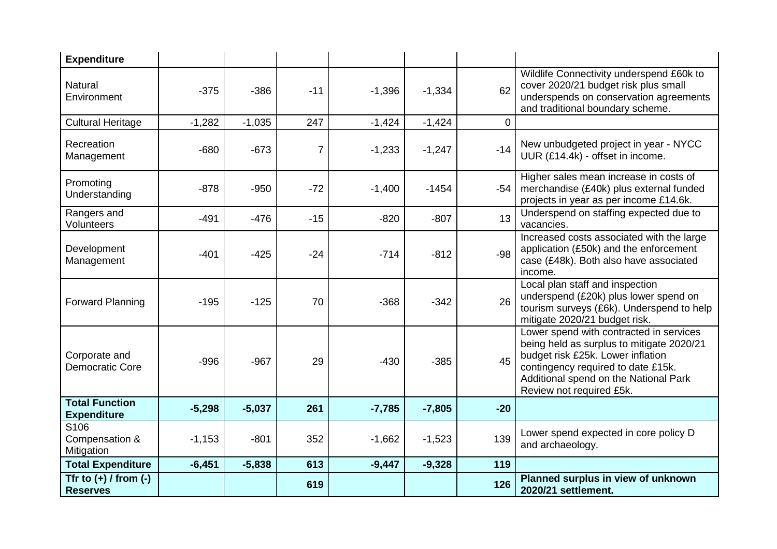| <b>Expenditure</b>                               |          |          |                |          |          |                |                                                                                                                                                                                                                                      |
|--------------------------------------------------|----------|----------|----------------|----------|----------|----------------|--------------------------------------------------------------------------------------------------------------------------------------------------------------------------------------------------------------------------------------|
| <b>Natural</b><br>Environment                    | $-375$   | $-386$   | $-11$          | $-1,396$ | $-1,334$ | 62             | Wildlife Connectivity underspend £60k to<br>cover 2020/21 budget risk plus small<br>underspends on conservation agreements<br>and traditional boundary scheme.                                                                       |
| <b>Cultural Heritage</b>                         | $-1,282$ | $-1,035$ | 247            | $-1,424$ | $-1,424$ | $\overline{0}$ |                                                                                                                                                                                                                                      |
| Recreation<br>Management                         | $-680$   | $-673$   | $\overline{7}$ | $-1,233$ | $-1,247$ | $-14$          | New unbudgeted project in year - NYCC<br>UUR (£14.4k) - offset in income.                                                                                                                                                            |
| Promoting<br>Understanding                       | $-878$   | $-950$   | $-72$          | $-1,400$ | $-1454$  | $-54$          | Higher sales mean increase in costs of<br>merchandise (£40k) plus external funded<br>projects in year as per income £14.6k.                                                                                                          |
| Rangers and<br>Volunteers                        | $-491$   | $-476$   | $-15$          | $-820$   | $-807$   | 13             | Underspend on staffing expected due to<br>vacancies.                                                                                                                                                                                 |
| Development<br>Management                        | $-401$   | $-425$   | $-24$          | $-714$   | $-812$   | $-98$          | Increased costs associated with the large<br>application (£50k) and the enforcement<br>case (£48k). Both also have associated<br>income.                                                                                             |
| <b>Forward Planning</b>                          | $-195$   | $-125$   | 70             | $-368$   | $-342$   | 26             | Local plan staff and inspection<br>underspend (£20k) plus lower spend on<br>tourism surveys (£6k). Underspend to help<br>mitigate 2020/21 budget risk.                                                                               |
| Corporate and<br>Democratic Core                 | $-996$   | $-967$   | 29             | $-430$   | $-385$   | 45             | Lower spend with contracted in services<br>being held as surplus to mitigate 2020/21<br>budget risk £25k. Lower inflation<br>contingency required to date £15k.<br>Additional spend on the National Park<br>Review not required £5k. |
| <b>Total Function</b><br><b>Expenditure</b>      | $-5,298$ | $-5,037$ | 261            | $-7,785$ | $-7,805$ | $-20$          |                                                                                                                                                                                                                                      |
| S <sub>106</sub><br>Compensation &<br>Mitigation | $-1,153$ | $-801$   | 352            | $-1,662$ | $-1,523$ | 139            | Lower spend expected in core policy D<br>and archaeology.                                                                                                                                                                            |
| <b>Total Expenditure</b>                         | $-6,451$ | $-5,838$ | 613            | $-9,447$ | $-9,328$ | 119            |                                                                                                                                                                                                                                      |
| Tfr to $(+)$ / from $(-)$<br><b>Reserves</b>     |          |          | 619            |          |          | 126            | Planned surplus in view of unknown<br>2020/21 settlement.                                                                                                                                                                            |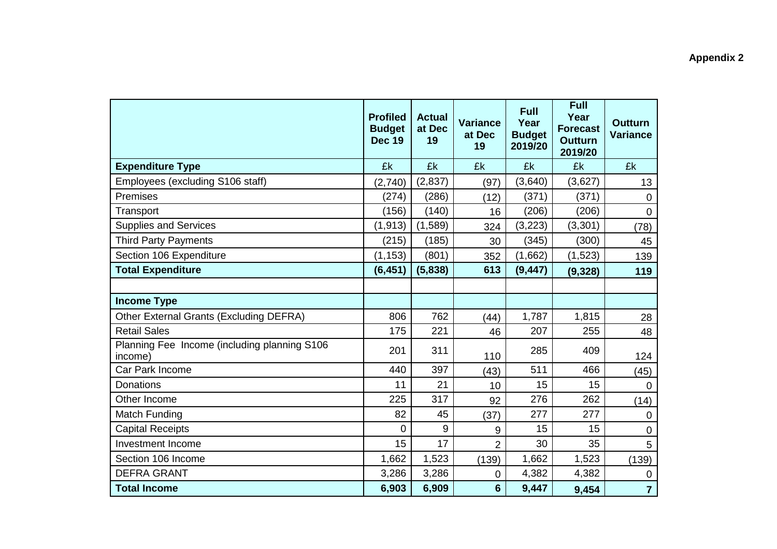|                                                         | <b>Profiled</b><br><b>Budget</b><br><b>Dec 19</b> | <b>Actual</b><br>at Dec<br>19 | <b>Variance</b><br>at Dec<br>19 | <b>Full</b><br>Year<br><b>Budget</b><br>2019/20 | <b>Full</b><br>Year<br><b>Forecast</b><br><b>Outturn</b><br>2019/20 | <b>Outturn</b><br><b>Variance</b> |
|---------------------------------------------------------|---------------------------------------------------|-------------------------------|---------------------------------|-------------------------------------------------|---------------------------------------------------------------------|-----------------------------------|
| <b>Expenditure Type</b>                                 | £k                                                | £k                            | £k                              | £k                                              | £k                                                                  | £k                                |
| Employees (excluding S106 staff)                        | (2,740)                                           | (2,837)                       | (97)                            | (3,640)                                         | (3,627)                                                             | 13                                |
| Premises                                                | (274)                                             | (286)                         | (12)                            | (371)                                           | (371)                                                               | $\mathbf 0$                       |
| Transport                                               | (156)                                             | (140)                         | 16                              | (206)                                           | (206)                                                               | $\overline{0}$                    |
| <b>Supplies and Services</b>                            | (1, 913)                                          | (1,589)                       | 324                             | (3, 223)                                        | (3, 301)                                                            | (78)                              |
| <b>Third Party Payments</b>                             | (215)                                             | (185)                         | 30                              | (345)                                           | (300)                                                               | 45                                |
| Section 106 Expenditure                                 | (1, 153)                                          | (801)                         | 352                             | (1,662)                                         | (1,523)                                                             | 139                               |
| <b>Total Expenditure</b>                                | (6, 451)                                          | (5,838)                       | 613                             | (9, 447)                                        | (9,328)                                                             | 119                               |
|                                                         |                                                   |                               |                                 |                                                 |                                                                     |                                   |
| <b>Income Type</b>                                      |                                                   |                               |                                 |                                                 |                                                                     |                                   |
| Other External Grants (Excluding DEFRA)                 | 806                                               | 762                           | (44)                            | 1,787                                           | 1,815                                                               | 28                                |
| <b>Retail Sales</b>                                     | 175                                               | 221                           | 46                              | 207                                             | 255                                                                 | 48                                |
| Planning Fee Income (including planning S106<br>income) | 201                                               | 311                           | 110                             | 285                                             | 409                                                                 | 124                               |
| Car Park Income                                         | 440                                               | 397                           | (43)                            | 511                                             | 466                                                                 | (45)                              |
| <b>Donations</b>                                        | 11                                                | 21                            | 10                              | 15                                              | 15                                                                  | $\overline{0}$                    |
| Other Income                                            | 225                                               | 317                           | 92                              | 276                                             | 262                                                                 | (14)                              |
| Match Funding                                           | 82                                                | 45                            | (37)                            | 277                                             | 277                                                                 | $\mathbf 0$                       |
| <b>Capital Receipts</b>                                 | 0                                                 | 9                             | 9                               | 15                                              | 15                                                                  | $\mathbf 0$                       |
| <b>Investment Income</b>                                | 15                                                | 17                            | $\overline{2}$                  | 30                                              | 35                                                                  | 5                                 |
| Section 106 Income                                      | 1,662                                             | 1,523                         | (139)                           | 1,662                                           | 1,523                                                               | (139)                             |
| <b>DEFRA GRANT</b>                                      | 3,286                                             | 3,286                         | 0                               | 4,382                                           | 4,382                                                               | $\mathbf 0$                       |
| <b>Total Income</b>                                     | 6,903                                             | 6,909                         | 6                               | 9,447                                           | 9,454                                                               | $\overline{7}$                    |